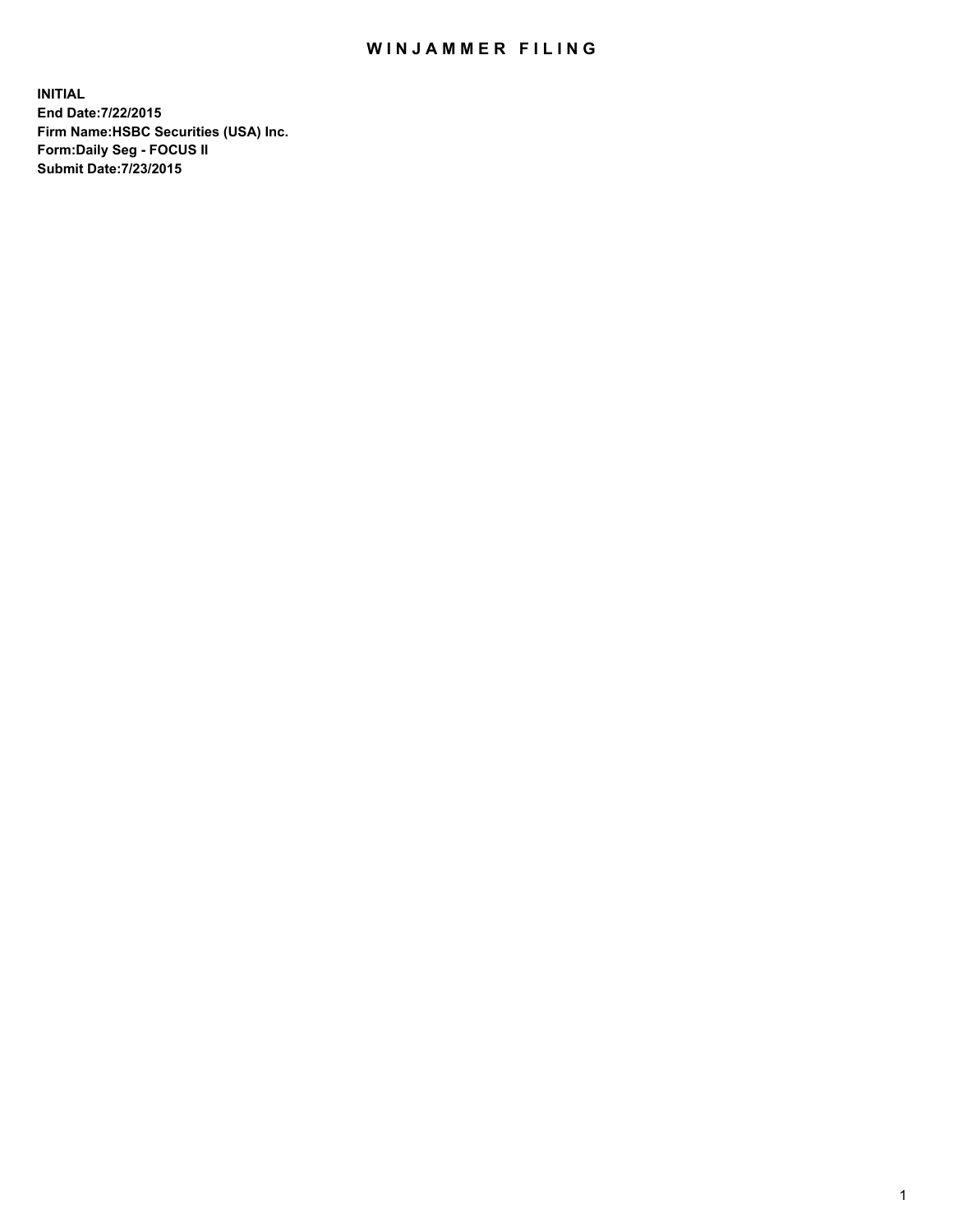## WIN JAMMER FILING

**INITIAL End Date:7/22/2015 Firm Name:HSBC Securities (USA) Inc. Form:Daily Seg - FOCUS II Submit Date:7/23/2015**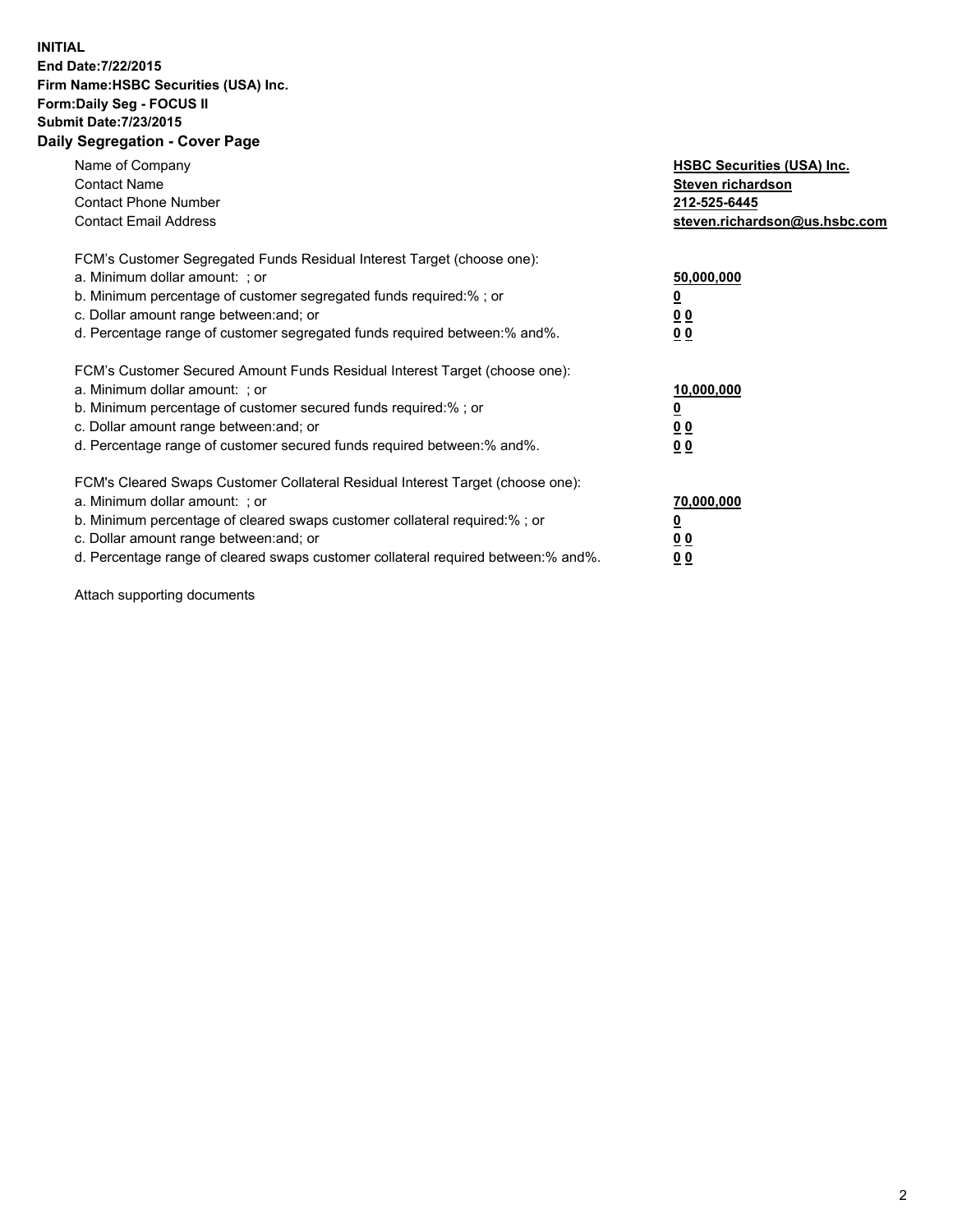## **INITIAL End Date:7/22/2015 Firm Name:HSBC Securities (USA) Inc. Form:Daily Seg - FOCUS II Submit Date:7/23/2015 Daily Segregation - Cover Page**

| Name of Company<br><b>Contact Name</b><br><b>Contact Phone Number</b><br><b>Contact Email Address</b>                                                                                                                                                                                                                          | <b>HSBC Securities (USA) Inc.</b><br>Steven richardson<br>212-525-6445<br>steven.richardson@us.hsbc.com |
|--------------------------------------------------------------------------------------------------------------------------------------------------------------------------------------------------------------------------------------------------------------------------------------------------------------------------------|---------------------------------------------------------------------------------------------------------|
| FCM's Customer Segregated Funds Residual Interest Target (choose one):<br>a. Minimum dollar amount: ; or<br>b. Minimum percentage of customer segregated funds required:%; or<br>c. Dollar amount range between: and; or<br>d. Percentage range of customer segregated funds required between:% and%.                          | 50,000,000<br>00<br>00                                                                                  |
| FCM's Customer Secured Amount Funds Residual Interest Target (choose one):<br>a. Minimum dollar amount: ; or<br>b. Minimum percentage of customer secured funds required:%; or<br>c. Dollar amount range between: and; or<br>d. Percentage range of customer secured funds required between:% and%.                            | 10,000,000<br>0 <sub>0</sub><br>00                                                                      |
| FCM's Cleared Swaps Customer Collateral Residual Interest Target (choose one):<br>a. Minimum dollar amount: ; or<br>b. Minimum percentage of cleared swaps customer collateral required:% ; or<br>c. Dollar amount range between: and; or<br>d. Percentage range of cleared swaps customer collateral required between:% and%. | 70,000,000<br><u>00</u><br><u>00</u>                                                                    |

Attach supporting documents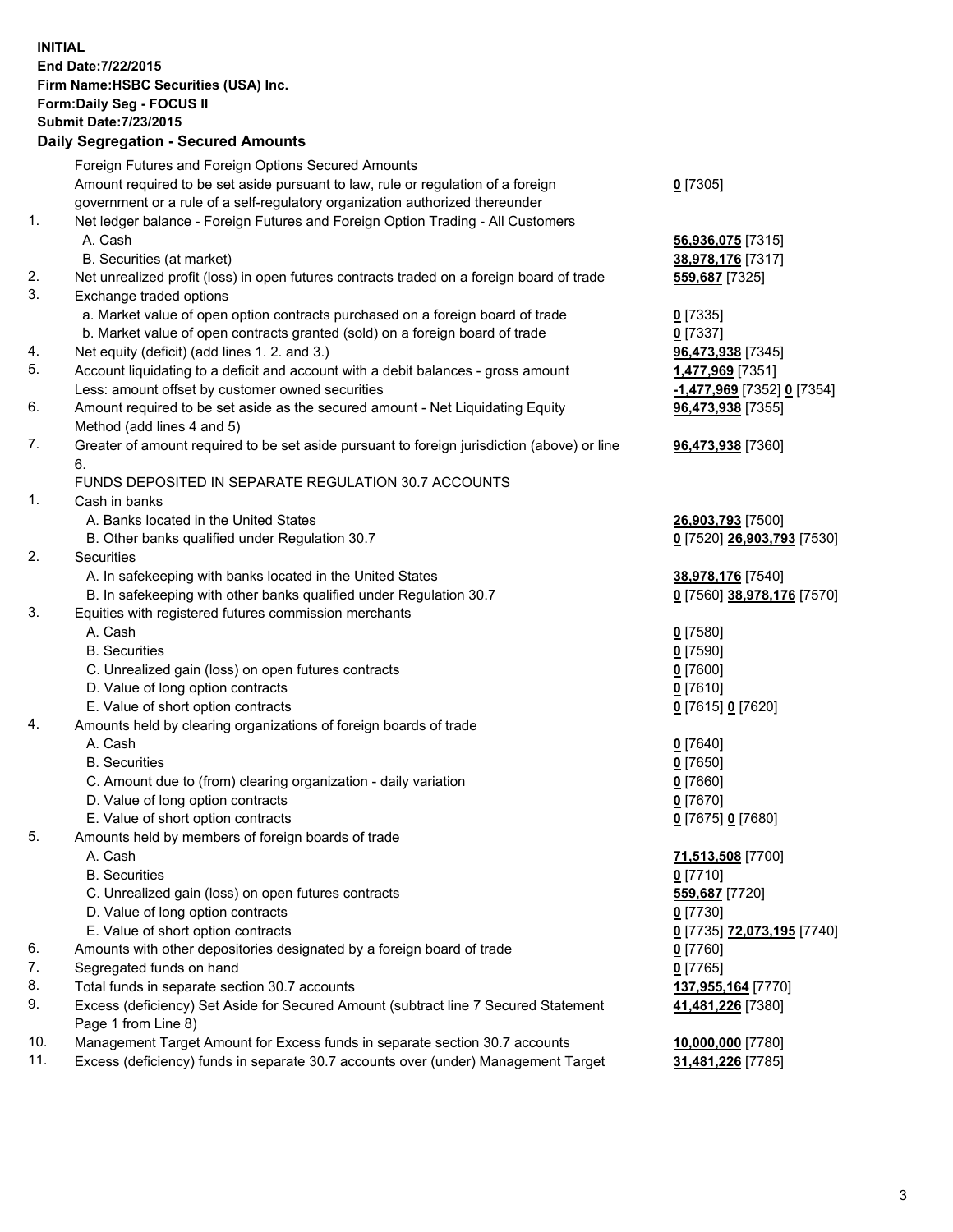**INITIAL End Date:7/22/2015 Firm Name:HSBC Securities (USA) Inc. Form:Daily Seg - FOCUS II Submit Date:7/23/2015 Daily Segregation - Secured Amounts**

Foreign Futures and Foreign Options Secured Amounts Amount required to be set aside pursuant to law, rule or regulation of a foreign government or a rule of a self-regulatory organization authorized thereunder **0** [7305] 1. Net ledger balance - Foreign Futures and Foreign Option Trading - All Customers A. Cash **56,936,075** [7315] B. Securities (at market) **38,978,176** [7317] 2. Net unrealized profit (loss) in open futures contracts traded on a foreign board of trade **559,687** [7325] 3. Exchange traded options a. Market value of open option contracts purchased on a foreign board of trade **0** [7335] b. Market value of open contracts granted (sold) on a foreign board of trade **0** [7337] 4. Net equity (deficit) (add lines 1. 2. and 3.) **96,473,938** [7345] 5. Account liquidating to a deficit and account with a debit balances - gross amount **1,477,969** [7351] Less: amount offset by customer owned securities **-1,477,969** [7352] **0** [7354] 6. Amount required to be set aside as the secured amount - Net Liquidating Equity Method (add lines 4 and 5) **96,473,938** [7355] 7. Greater of amount required to be set aside pursuant to foreign jurisdiction (above) or line 6. **96,473,938** [7360] FUNDS DEPOSITED IN SEPARATE REGULATION 30.7 ACCOUNTS 1. Cash in banks A. Banks located in the United States **26,903,793** [7500] B. Other banks qualified under Regulation 30.7 **0** [7520] **26,903,793** [7530] 2. Securities A. In safekeeping with banks located in the United States **38,978,176** [7540] B. In safekeeping with other banks qualified under Regulation 30.7 **0** [7560] **38,978,176** [7570] 3. Equities with registered futures commission merchants A. Cash **0** [7580] B. Securities **0** [7590] C. Unrealized gain (loss) on open futures contracts **0** [7600] D. Value of long option contracts **0** [7610] E. Value of short option contracts **0** [7615] **0** [7620] 4. Amounts held by clearing organizations of foreign boards of trade A. Cash **0** [7640] B. Securities **0** [7650] C. Amount due to (from) clearing organization - daily variation **0** [7660] D. Value of long option contracts **0** [7670] E. Value of short option contracts **0** [7675] **0** [7680] 5. Amounts held by members of foreign boards of trade A. Cash **71,513,508** [7700] B. Securities **0** [7710] C. Unrealized gain (loss) on open futures contracts **559,687** [7720] D. Value of long option contracts **0** [7730] E. Value of short option contracts **0** [7735] **72,073,195** [7740] 6. Amounts with other depositories designated by a foreign board of trade **0** [7760] 7. Segregated funds on hand **0** [7765] 8. Total funds in separate section 30.7 accounts **137,955,164** [7770] 9. Excess (deficiency) Set Aside for Secured Amount (subtract line 7 Secured Statement Page 1 from Line 8) **41,481,226** [7380] 10. Management Target Amount for Excess funds in separate section 30.7 accounts **10,000,000** [7780] 11. Excess (deficiency) funds in separate 30.7 accounts over (under) Management Target **31,481,226** [7785]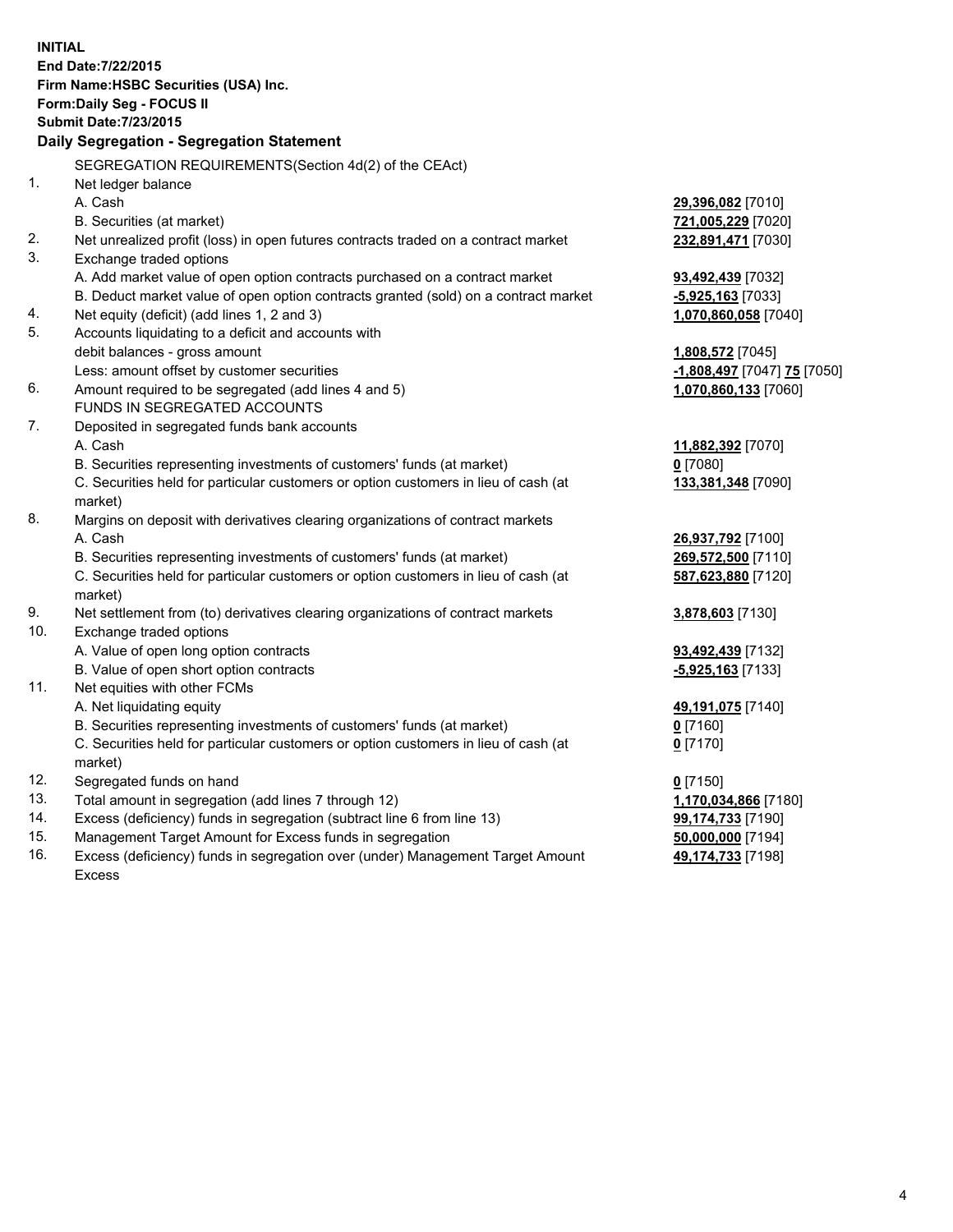|     | <b>INITIAL</b><br>End Date: 7/22/2015<br>Firm Name: HSBC Securities (USA) Inc.<br>Form: Daily Seg - FOCUS II<br><b>Submit Date: 7/23/2015</b> |                             |
|-----|-----------------------------------------------------------------------------------------------------------------------------------------------|-----------------------------|
|     | Daily Segregation - Segregation Statement                                                                                                     |                             |
|     | SEGREGATION REQUIREMENTS(Section 4d(2) of the CEAct)                                                                                          |                             |
| 1.  | Net ledger balance                                                                                                                            |                             |
|     | A. Cash                                                                                                                                       | 29,396,082 [7010]           |
|     | B. Securities (at market)                                                                                                                     | 721,005,229 [7020]          |
| 2.  | Net unrealized profit (loss) in open futures contracts traded on a contract market                                                            | 232,891,471 [7030]          |
| 3.  | Exchange traded options                                                                                                                       |                             |
|     | A. Add market value of open option contracts purchased on a contract market                                                                   | 93,492,439 [7032]           |
|     | B. Deduct market value of open option contracts granted (sold) on a contract market                                                           | $-5,925,163$ [7033]         |
| 4.  | Net equity (deficit) (add lines 1, 2 and 3)                                                                                                   | 1,070,860,058 [7040]        |
| 5.  | Accounts liquidating to a deficit and accounts with                                                                                           |                             |
|     | debit balances - gross amount                                                                                                                 | 1,808,572 [7045]            |
|     | Less: amount offset by customer securities                                                                                                    | -1,808,497 [7047] 75 [7050] |
| 6.  | Amount required to be segregated (add lines 4 and 5)                                                                                          | 1,070,860,133 [7060]        |
|     | FUNDS IN SEGREGATED ACCOUNTS                                                                                                                  |                             |
| 7.  | Deposited in segregated funds bank accounts                                                                                                   |                             |
|     | A. Cash                                                                                                                                       | 11,882,392 [7070]           |
|     | B. Securities representing investments of customers' funds (at market)                                                                        | $0$ [7080]                  |
|     | C. Securities held for particular customers or option customers in lieu of cash (at<br>market)                                                | 133,381,348 [7090]          |
| 8.  | Margins on deposit with derivatives clearing organizations of contract markets                                                                |                             |
|     | A. Cash                                                                                                                                       | 26,937,792 [7100]           |
|     | B. Securities representing investments of customers' funds (at market)                                                                        | 269,572,500 [7110]          |
|     | C. Securities held for particular customers or option customers in lieu of cash (at<br>market)                                                | 587,623,880 [7120]          |
| 9.  | Net settlement from (to) derivatives clearing organizations of contract markets                                                               | 3,878,603 [7130]            |
| 10. | Exchange traded options                                                                                                                       |                             |
|     | A. Value of open long option contracts                                                                                                        | 93,492,439 [7132]           |
|     | B. Value of open short option contracts                                                                                                       | -5,925,163 [7133]           |
| 11. | Net equities with other FCMs                                                                                                                  |                             |
|     | A. Net liquidating equity                                                                                                                     | 49,191,075 [7140]           |
|     | B. Securities representing investments of customers' funds (at market)                                                                        | 0 [7160]                    |
|     | C. Securities held for particular customers or option customers in lieu of cash (at<br>market)                                                | $0$ [7170]                  |
| 12. | Segregated funds on hand                                                                                                                      | $0$ [7150]                  |
| 13. | Total amount in segregation (add lines 7 through 12)                                                                                          | 1,170,034,866 [7180]        |
| 14. | Excess (deficiency) funds in segregation (subtract line 6 from line 13)                                                                       | 99,174,733 [7190]           |
| 15. | Management Target Amount for Excess funds in segregation                                                                                      | 50,000,000 [7194]           |
| 16. | Excess (deficiency) funds in segregation over (under) Management Target Amount                                                                | 49,174,733 [7198]           |

Excess